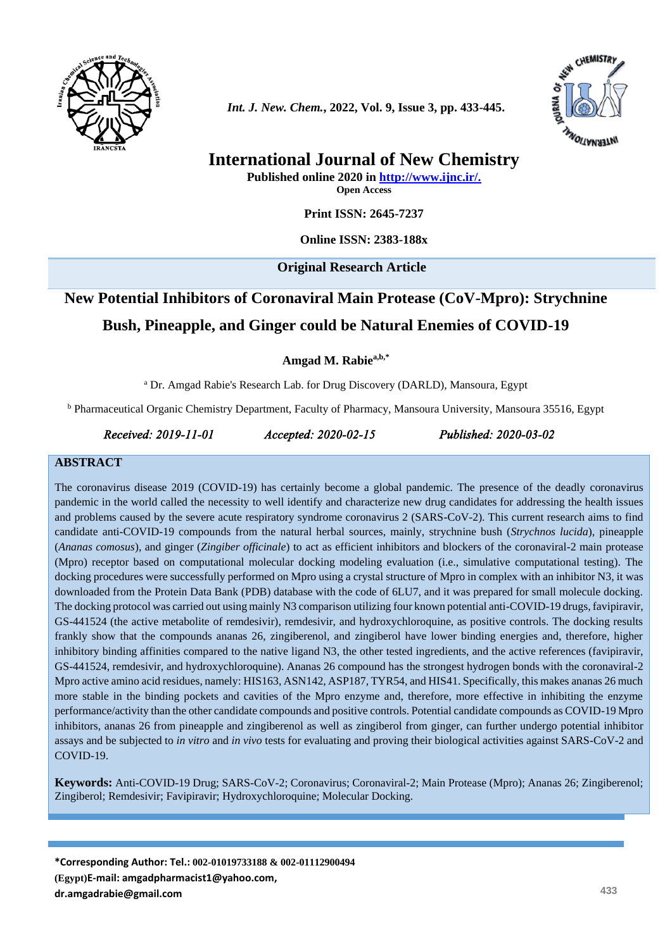



## **International Journal of New Chemistry**

**Published online 2020 in [http://www.ijnc.ir/.](http://www.ijnc.ir/) Open Access**

**Print ISSN: 2645-7237**

**Online ISSN: 2383-188x**

**Original Research Article** 

# **New Potential Inhibitors of Coronaviral Main Protease (CoV-Mpro): Strychnine Bush, Pineapple, and Ginger could be Natural Enemies of COVID-19**

**Amgad M. Rabiea,b,\***

<sup>a</sup> Dr. Amgad Rabie's Research Lab. for Drug Discovery (DARLD), Mansoura, Egypt

<sup>b</sup> Pharmaceutical Organic Chemistry Department, Faculty of Pharmacy, Mansoura University, Mansoura 35516, Egypt

*Received: 2019-11-01 Accepted: 2020-02-15 Published: 2020-03-02* 

#### **ABSTRACT**

The coronavirus disease 2019 (COVID-19) has certainly become a global pandemic. The presence of the deadly coronavirus pandemic in the world called the necessity to well identify and characterize new drug candidates for addressing the health issues and problems caused by the severe acute respiratory syndrome coronavirus 2 (SARS-CoV-2). This current research aims to find candidate anti-COVID-19 compounds from the natural herbal sources, mainly, strychnine bush (*Strychnos lucida*), pineapple (*Ananas comosus*), and ginger (*Zingiber officinale*) to act as efficient inhibitors and blockers of the coronaviral-2 main protease (Mpro) receptor based on computational molecular docking modeling evaluation (i.e., simulative computational testing). The docking procedures were successfully performed on Mpro using a crystal structure of Mpro in complex with an inhibitor N3, it was downloaded from the Protein Data Bank (PDB) database with the code of 6LU7, and it was prepared for small molecule docking. The docking protocol was carried out using mainly N3 comparison utilizing four known potential anti-COVID-19 drugs, favipiravir, GS-441524 (the active metabolite of remdesivir), remdesivir, and hydroxychloroquine, as positive controls. The docking results frankly show that the compounds ananas 26, zingiberenol, and zingiberol have lower binding energies and, therefore, higher inhibitory binding affinities compared to the native ligand N3, the other tested ingredients, and the active references (favipiravir, GS-441524, remdesivir, and hydroxychloroquine). Ananas 26 compound has the strongest hydrogen bonds with the coronaviral-2 Mpro active amino acid residues, namely: HIS163, ASN142, ASP187, TYR54, and HIS41. Specifically, this makes ananas 26 much more stable in the binding pockets and cavities of the Mpro enzyme and, therefore, more effective in inhibiting the enzyme performance/activity than the other candidate compounds and positive controls. Potential candidate compounds as COVID-19 Mpro inhibitors, ananas 26 from pineapple and zingiberenol as well as zingiberol from ginger, can further undergo potential inhibitor assays and be subjected to *in vitro* and *in vivo* tests for evaluating and proving their biological activities against SARS-CoV-2 and COVID-19.

**Keywords:** Anti-COVID-19 Drug; SARS-CoV-2; Coronavirus; Coronaviral-2; Main Protease (Mpro); Ananas 26; Zingiberenol; Zingiberol; Remdesivir; Favipiravir; Hydroxychloroquine; Molecular Docking.

**\*Corresponding Author: Tel.: 002-01019733188 & 002-01112900494 (Egypt)E-mail[: amgadpharmacist1@yahoo.com,](mailto:amgadpharmacist1@yahoo.com) [dr.amgadrabie@gmail.com](mailto:dr.amgadrabie@gmail.com) <sup>433</sup>**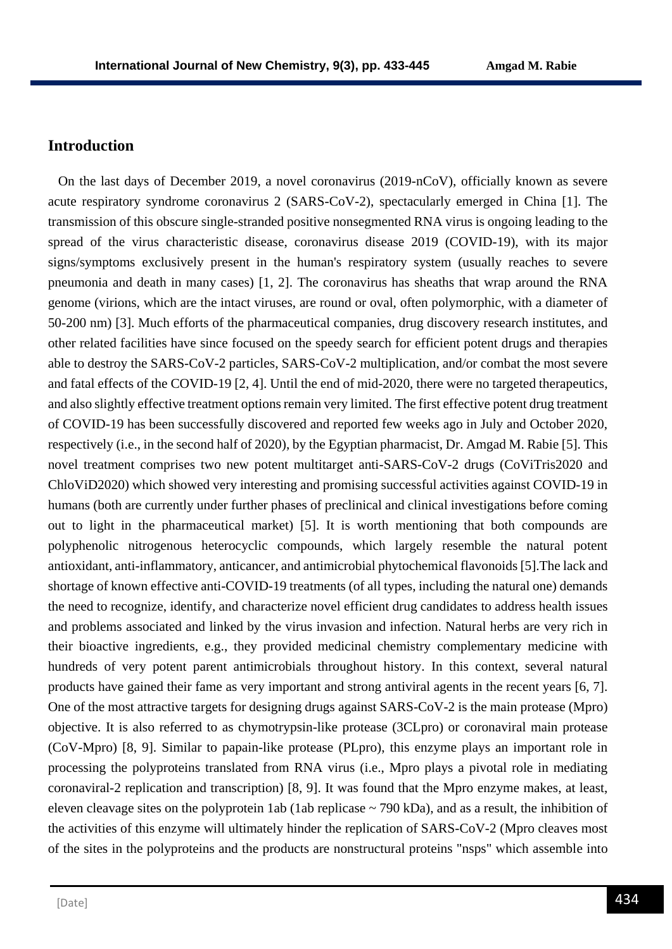## **Introduction**

 On the last days of December 2019, a novel coronavirus (2019-nCoV), officially known as severe acute respiratory syndrome coronavirus 2 (SARS-CoV-2), spectacularly emerged in China [1]. The transmission of this obscure single-stranded positive nonsegmented RNA virus is ongoing leading to the spread of the virus characteristic disease, coronavirus disease 2019 (COVID-19), with its major signs/symptoms exclusively present in the human's respiratory system (usually reaches to severe pneumonia and death in many cases) [1, 2]. The coronavirus has sheaths that wrap around the RNA genome (virions, which are the intact viruses, are round or oval, often polymorphic, with a diameter of 50-200 nm) [3]. Much efforts of the pharmaceutical companies, drug discovery research institutes, and other related facilities have since focused on the speedy search for efficient potent drugs and therapies able to destroy the SARS-CoV-2 particles, SARS-CoV-2 multiplication, and/or combat the most severe and fatal effects of the COVID-19 [2, 4]. Until the end of mid-2020, there were no targeted therapeutics, and also slightly effective treatment options remain very limited. The first effective potent drug treatment of COVID-19 has been successfully discovered and reported few weeks ago in July and October 2020, respectively (i.e., in the second half of 2020), by the Egyptian pharmacist, Dr. Amgad M. Rabie [5]. This novel treatment comprises two new potent multitarget anti-SARS-CoV-2 drugs (CoViTris2020 and ChloViD2020) which showed very interesting and promising successful activities against COVID-19 in humans (both are currently under further phases of preclinical and clinical investigations before coming out to light in the pharmaceutical market) [5]. It is worth mentioning that both compounds are polyphenolic nitrogenous heterocyclic compounds, which largely resemble the natural potent antioxidant, anti-inflammatory, anticancer, and antimicrobial phytochemical flavonoids [5].The lack and shortage of known effective anti-COVID-19 treatments (of all types, including the natural one) demands the need to recognize, identify, and characterize novel efficient drug candidates to address health issues and problems associated and linked by the virus invasion and infection. Natural herbs are very rich in their bioactive ingredients, e.g., they provided medicinal chemistry complementary medicine with hundreds of very potent parent antimicrobials throughout history. In this context, several natural products have gained their fame as very important and strong antiviral agents in the recent years [6, 7]. One of the most attractive targets for designing drugs against SARS-CoV-2 is the main protease (Mpro) objective. It is also referred to as chymotrypsin-like protease (3CLpro) or coronaviral main protease (CoV-Mpro) [8, 9]. Similar to papain-like protease (PLpro), this enzyme plays an important role in processing the polyproteins translated from RNA virus (i.e., Mpro plays a pivotal role in mediating coronaviral-2 replication and transcription) [8, 9]. It was found that the Mpro enzyme makes, at least, eleven cleavage sites on the polyprotein 1ab (1ab replicase  $\sim$  790 kDa), and as a result, the inhibition of the activities of this enzyme will ultimately hinder the replication of SARS-CoV-2 (Mpro cleaves most of the sites in the polyproteins and the products are nonstructural proteins "nsps" which assemble into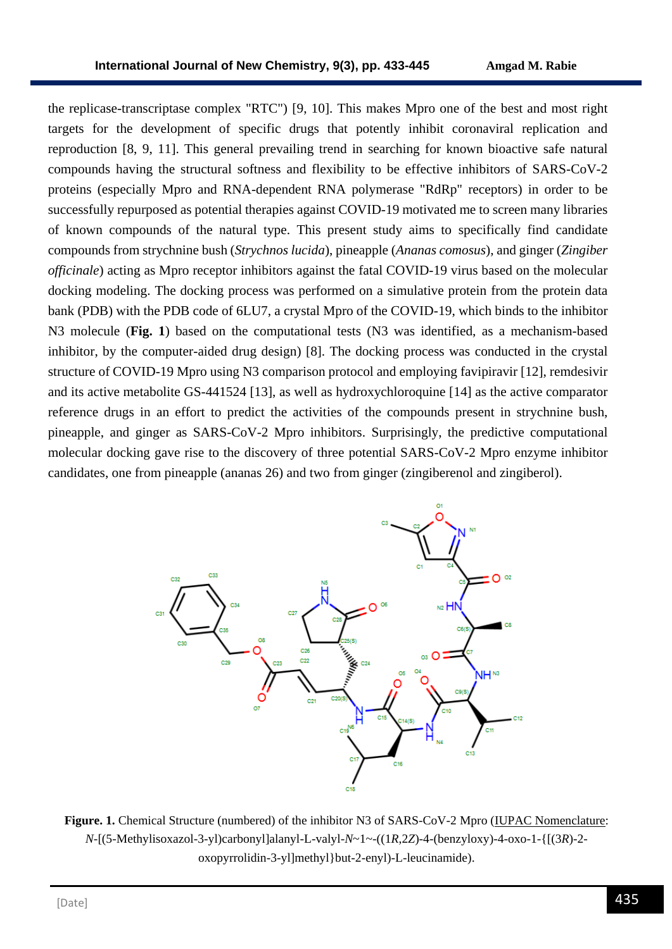the replicase-transcriptase complex "RTC") [9, 10]. This makes Mpro one of the best and most right targets for the development of specific drugs that potently inhibit coronaviral replication and reproduction [8, 9, 11]. This general prevailing trend in searching for known bioactive safe natural compounds having the structural softness and flexibility to be effective inhibitors of SARS-CoV-2 proteins (especially Mpro and RNA-dependent RNA polymerase "RdRp" receptors) in order to be successfully repurposed as potential therapies against COVID-19 motivated me to screen many libraries of known compounds of the natural type. This present study aims to specifically find candidate compounds from strychnine bush (*Strychnos lucida*), pineapple (*Ananas comosus*), and ginger (*Zingiber officinale*) acting as Mpro receptor inhibitors against the fatal COVID-19 virus based on the molecular docking modeling. The docking process was performed on a simulative protein from the protein data bank (PDB) with the PDB code of 6LU7, a crystal Mpro of the COVID-19, which binds to the inhibitor N3 molecule (**Fig. 1**) based on the computational tests (N3 was identified, as a mechanism-based inhibitor, by the computer-aided drug design) [8]. The docking process was conducted in the crystal structure of COVID-19 Mpro using N3 comparison protocol and employing favipiravir [12], remdesivir and its active metabolite GS-441524 [13], as well as hydroxychloroquine [14] as the active comparator reference drugs in an effort to predict the activities of the compounds present in strychnine bush, pineapple, and ginger as SARS-CoV-2 Mpro inhibitors. Surprisingly, the predictive computational molecular docking gave rise to the discovery of three potential SARS-CoV-2 Mpro enzyme inhibitor candidates, one from pineapple (ananas 26) and two from ginger (zingiberenol and zingiberol).



**Figure. 1.** Chemical Structure (numbered) of the inhibitor N3 of SARS-CoV-2 Mpro (IUPAC Nomenclature: *N*-[(5-Methylisoxazol-3-yl)carbonyl]alanyl-L-valyl-*N*~1~-((1*R*,2*Z*)-4-(benzyloxy)-4-oxo-1-{[(3*R*)-2 oxopyrrolidin-3-yl]methyl}but-2-enyl)-L-leucinamide).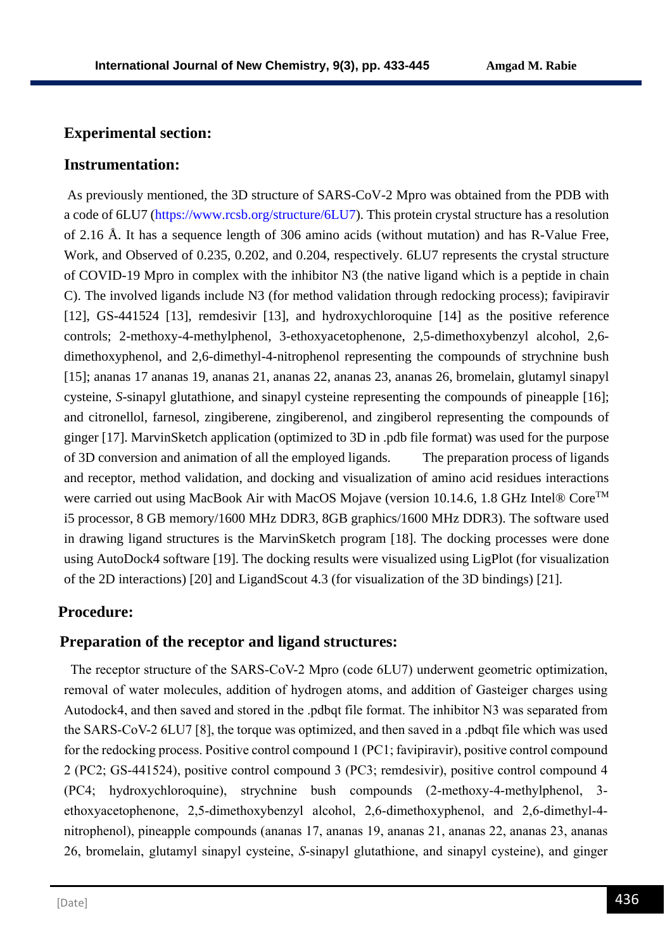## **Experimental section:**

## **Instrumentation:**

As previously mentioned, the 3D structure of SARS-CoV-2 Mpro was obtained from the PDB with a code of 6LU7 (https://www.rcsb.org/structure/6LU7). This protein crystal structure has a resolution of 2.16 Å. It has a sequence length of 306 amino acids (without mutation) and has R-Value Free, Work, and Observed of 0.235, 0.202, and 0.204, respectively. 6LU7 represents the crystal structure of COVID-19 Mpro in complex with the inhibitor N3 (the native ligand which is a peptide in chain C). The involved ligands include N3 (for method validation through redocking process); favipiravir [12], GS-441524 [13], remdesivir [13], and hydroxychloroquine [14] as the positive reference controls; 2-methoxy-4-methylphenol, 3-ethoxyacetophenone, 2,5-dimethoxybenzyl alcohol, 2,6 dimethoxyphenol, and 2,6-dimethyl-4-nitrophenol representing the compounds of strychnine bush [15]; ananas 17 ananas 19, ananas 21, ananas 22, ananas 23, ananas 26, bromelain, glutamyl sinapyl cysteine, *S*-sinapyl glutathione, and sinapyl cysteine representing the compounds of pineapple [16]; and citronellol, farnesol, zingiberene, zingiberenol, and zingiberol representing the compounds of ginger [17]. MarvinSketch application (optimized to 3D in .pdb file format) was used for the purpose of 3D conversion and animation of all the employed ligands. The preparation process of ligands and receptor, method validation, and docking and visualization of amino acid residues interactions were carried out using MacBook Air with MacOS Mojave (version 10.14.6, 1.8 GHz Intel® Core™ i5 processor, 8 GB memory/1600 MHz DDR3, 8GB graphics/1600 MHz DDR3). The software used in drawing ligand structures is the MarvinSketch program [18]. The docking processes were done using AutoDock4 software [19]. The docking results were visualized using LigPlot (for visualization of the 2D interactions) [20] and LigandScout 4.3 (for visualization of the 3D bindings) [21].

## **Procedure:**

## **Preparation of the receptor and ligand structures:**

 The receptor structure of the SARS-CoV-2 Mpro (code 6LU7) underwent geometric optimization, removal of water molecules, addition of hydrogen atoms, and addition of Gasteiger charges using Autodock4, and then saved and stored in the .pdbqt file format. The inhibitor N3 was separated from the SARS-CoV-2 6LU7 [8], the torque was optimized, and then saved in a .pdbqt file which was used for the redocking process. Positive control compound 1 (PC1; favipiravir), positive control compound 2 (PC2; GS-441524), positive control compound 3 (PC3; remdesivir), positive control compound 4 (PC4; hydroxychloroquine), strychnine bush compounds (2-methoxy-4-methylphenol, 3 ethoxyacetophenone, 2,5-dimethoxybenzyl alcohol, 2,6-dimethoxyphenol, and 2,6-dimethyl-4 nitrophenol), pineapple compounds (ananas 17, ananas 19, ananas 21, ananas 22, ananas 23, ananas 26, bromelain, glutamyl sinapyl cysteine, *S*-sinapyl glutathione, and sinapyl cysteine), and ginger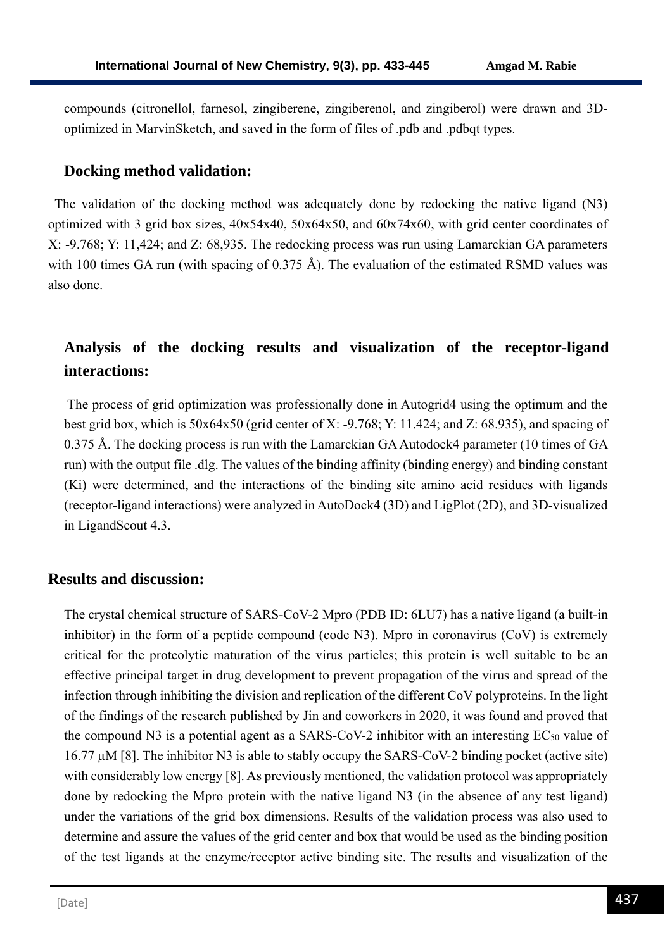compounds (citronellol, farnesol, zingiberene, zingiberenol, and zingiberol) were drawn and 3Doptimized in MarvinSketch, and saved in the form of files of .pdb and .pdbqt types.

## **Docking method validation:**

 The validation of the docking method was adequately done by redocking the native ligand (N3) optimized with 3 grid box sizes, 40x54x40, 50x64x50, and 60x74x60, with grid center coordinates of X: -9.768; Y: 11,424; and Z: 68,935. The redocking process was run using Lamarckian GA parameters with 100 times GA run (with spacing of 0.375 Å). The evaluation of the estimated RSMD values was also done.

# **Analysis of the docking results and visualization of the receptor-ligand interactions:**

The process of grid optimization was professionally done in Autogrid4 using the optimum and the best grid box, which is 50x64x50 (grid center of X: -9.768; Y: 11.424; and Z: 68.935), and spacing of 0.375 Å. The docking process is run with the Lamarckian GA Autodock4 parameter (10 times of GA run) with the output file .dlg. The values of the binding affinity (binding energy) and binding constant (Ki) were determined, and the interactions of the binding site amino acid residues with ligands (receptor-ligand interactions) were analyzed in AutoDock4 (3D) and LigPlot (2D), and 3D-visualized in LigandScout 4.3.

#### **Results and discussion:**

The crystal chemical structure of SARS-CoV-2 Mpro (PDB ID: 6LU7) has a native ligand (a built-in inhibitor) in the form of a peptide compound (code N3). Mpro in coronavirus (CoV) is extremely critical for the proteolytic maturation of the virus particles; this protein is well suitable to be an effective principal target in drug development to prevent propagation of the virus and spread of the infection through inhibiting the division and replication of the different CoV polyproteins. In the light of the findings of the research published by Jin and coworkers in 2020, it was found and proved that the compound N3 is a potential agent as a SARS-CoV-2 inhibitor with an interesting  $EC_{50}$  value of 16.77 µM [8]. The inhibitor N3 is able to stably occupy the SARS-CoV-2 binding pocket (active site) with considerably low energy [8]. As previously mentioned, the validation protocol was appropriately done by redocking the Mpro protein with the native ligand N3 (in the absence of any test ligand) under the variations of the grid box dimensions. Results of the validation process was also used to determine and assure the values of the grid center and box that would be used as the binding position of the test ligands at the enzyme/receptor active binding site. The results and visualization of the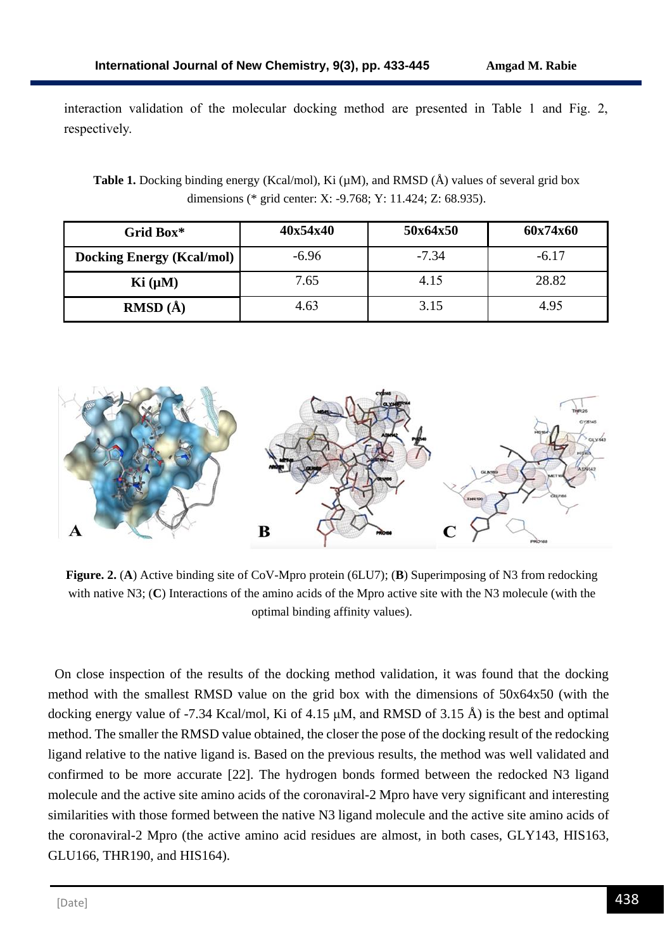interaction validation of the molecular docking method are presented in Table 1 and Fig. 2, respectively.

**Table 1.** Docking binding energy (Kcal/mol), Ki ( $\mu$ M), and RMSD ( $\AA$ ) values of several grid box dimensions (\* grid center: X: -9.768; Y: 11.424; Z: 68.935).

| Grid Box*                        | 40x54x40 | 50x64x50 | 60x74x60 |
|----------------------------------|----------|----------|----------|
| <b>Docking Energy (Kcal/mol)</b> | $-6.96$  | $-7.34$  | $-6.17$  |
| Ki (µM)                          | 7.65     | 4.15     | 28.82    |
| <b>RMSD</b> $(\AA)$              | 4.63     | 3.15     | 4.95     |



**Figure. 2.** (**A**) Active binding site of CoV-Mpro protein (6LU7); (**B**) Superimposing of N3 from redocking with native N3; (**C**) Interactions of the amino acids of the Mpro active site with the N3 molecule (with the optimal binding affinity values).

 On close inspection of the results of the docking method validation, it was found that the docking method with the smallest RMSD value on the grid box with the dimensions of 50x64x50 (with the docking energy value of -7.34 Kcal/mol, Ki of 4.15 μM, and RMSD of 3.15 Å) is the best and optimal method. The smaller the RMSD value obtained, the closer the pose of the docking result of the redocking ligand relative to the native ligand is. Based on the previous results, the method was well validated and confirmed to be more accurate [22]. The hydrogen bonds formed between the redocked N3 ligand molecule and the active site amino acids of the coronaviral-2 Mpro have very significant and interesting similarities with those formed between the native N3 ligand molecule and the active site amino acids of the coronaviral-2 Mpro (the active amino acid residues are almost, in both cases, GLY143, HIS163, GLU166, THR190, and HIS164).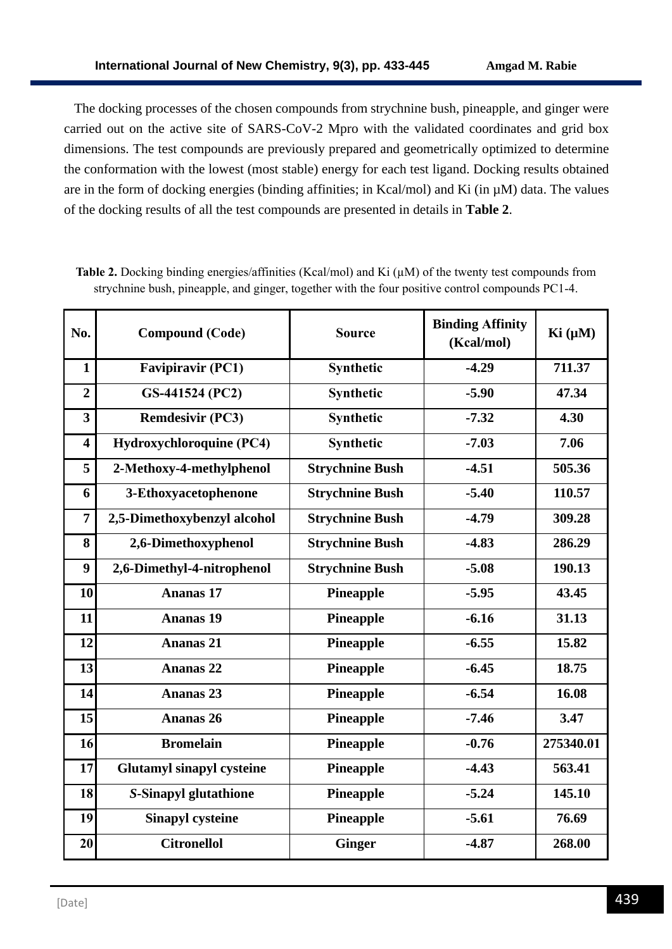The docking processes of the chosen compounds from strychnine bush, pineapple, and ginger were carried out on the active site of SARS-CoV-2 Mpro with the validated coordinates and grid box dimensions. The test compounds are previously prepared and geometrically optimized to determine the conformation with the lowest (most stable) energy for each test ligand. Docking results obtained are in the form of docking energies (binding affinities; in Kcal/mol) and Ki (in µM) data. The values of the docking results of all the test compounds are presented in details in **Table 2**.

| No.                     | <b>Compound (Code)</b>           | <b>Source</b>          | <b>Binding Affinity</b><br>(Kcal/mol) | Ki (µM)   |
|-------------------------|----------------------------------|------------------------|---------------------------------------|-----------|
| $\mathbf{1}$            | <b>Favipiravir (PC1)</b>         | Synthetic              | $-4.29$                               | 711.37    |
| $\overline{2}$          | GS-441524 (PC2)                  | Synthetic              | $-5.90$                               | 47.34     |
| 3                       | <b>Remdesivir (PC3)</b>          | Synthetic              | $-7.32$                               | 4.30      |
| $\overline{\mathbf{4}}$ | Hydroxychloroquine (PC4)         | Synthetic              | $-7.03$                               | 7.06      |
| 5                       | 2-Methoxy-4-methylphenol         | <b>Strychnine Bush</b> | $-4.51$                               | 505.36    |
| 6                       | 3-Ethoxyacetophenone             | <b>Strychnine Bush</b> | $-5.40$                               | 110.57    |
| $\overline{7}$          | 2,5-Dimethoxybenzyl alcohol      | <b>Strychnine Bush</b> | $-4.79$                               | 309.28    |
| 8                       | 2,6-Dimethoxyphenol              | <b>Strychnine Bush</b> | $-4.83$                               | 286.29    |
| 9                       | 2,6-Dimethyl-4-nitrophenol       | <b>Strychnine Bush</b> | $-5.08$                               | 190.13    |
| 10                      | <b>Ananas 17</b>                 | <b>Pineapple</b>       | $-5.95$                               | 43.45     |
| 11                      | <b>Ananas</b> 19                 | <b>Pineapple</b>       | $-6.16$                               | 31.13     |
| 12                      | <b>Ananas 21</b>                 | <b>Pineapple</b>       | $-6.55$                               | 15.82     |
| 13                      | <b>Ananas 22</b>                 | <b>Pineapple</b>       | $-6.45$                               | 18.75     |
| 14                      | <b>Ananas 23</b>                 | Pineapple              | $-6.54$                               | 16.08     |
| 15                      | <b>Ananas 26</b>                 | <b>Pineapple</b>       | $-7.46$                               | 3.47      |
| 16                      | <b>Bromelain</b>                 | <b>Pineapple</b>       | $-0.76$                               | 275340.01 |
| 17                      | <b>Glutamyl sinapyl cysteine</b> | <b>Pineapple</b>       | $-4.43$                               | 563.41    |
| 18                      | S-Sinapyl glutathione            | <b>Pineapple</b>       | $-5.24$                               | 145.10    |
| 19                      | <b>Sinapyl cysteine</b>          | <b>Pineapple</b>       | $-5.61$                               | 76.69     |
| 20                      | <b>Citronellol</b>               | <b>Ginger</b>          | $-4.87$                               | 268.00    |

**Table 2.** Docking binding energies/affinities (Kcal/mol) and Ki (µM) of the twenty test compounds from strychnine bush, pineapple, and ginger, together with the four positive control compounds PC1-4.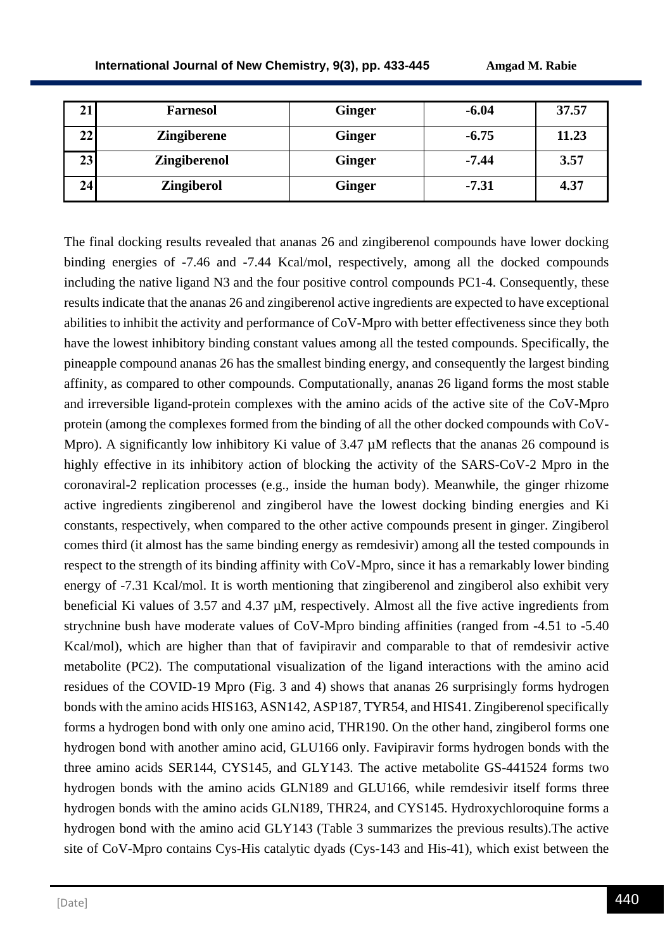| ◢  | <b>Farnesol</b>     | <b>Ginger</b> | $-6.04$ | 37.57 |
|----|---------------------|---------------|---------|-------|
| 22 | <b>Zingiberene</b>  | <b>Ginger</b> | $-6.75$ | 11.23 |
| 23 | <b>Zingiberenol</b> | <b>Ginger</b> | $-7.44$ | 3.57  |
| 24 | <b>Zingiberol</b>   | <b>Ginger</b> | $-7.31$ | 4.37  |

The final docking results revealed that ananas 26 and zingiberenol compounds have lower docking binding energies of -7.46 and -7.44 Kcal/mol, respectively, among all the docked compounds including the native ligand N3 and the four positive control compounds PC1-4. Consequently, these results indicate that the ananas 26 and zingiberenol active ingredients are expected to have exceptional abilities to inhibit the activity and performance of CoV-Mpro with better effectiveness since they both have the lowest inhibitory binding constant values among all the tested compounds. Specifically, the pineapple compound ananas 26 has the smallest binding energy, and consequently the largest binding affinity, as compared to other compounds. Computationally, ananas 26 ligand forms the most stable and irreversible ligand-protein complexes with the amino acids of the active site of the CoV-Mpro protein (among the complexes formed from the binding of all the other docked compounds with CoV-Mpro). A significantly low inhibitory Ki value of  $3.47 \mu$ M reflects that the ananas 26 compound is highly effective in its inhibitory action of blocking the activity of the SARS-CoV-2 Mpro in the coronaviral-2 replication processes (e.g., inside the human body). Meanwhile, the ginger rhizome active ingredients zingiberenol and zingiberol have the lowest docking binding energies and Ki constants, respectively, when compared to the other active compounds present in ginger. Zingiberol comes third (it almost has the same binding energy as remdesivir) among all the tested compounds in respect to the strength of its binding affinity with CoV-Mpro, since it has a remarkably lower binding energy of -7.31 Kcal/mol. It is worth mentioning that zingiberenol and zingiberol also exhibit very beneficial Ki values of 3.57 and 4.37  $\mu$ M, respectively. Almost all the five active ingredients from strychnine bush have moderate values of CoV-Mpro binding affinities (ranged from -4.51 to -5.40 Kcal/mol), which are higher than that of favipiravir and comparable to that of remdesivir active metabolite (PC2). The computational visualization of the ligand interactions with the amino acid residues of the COVID-19 Mpro (Fig. 3 and 4) shows that ananas 26 surprisingly forms hydrogen bonds with the amino acids HIS163, ASN142, ASP187, TYR54, and HIS41. Zingiberenol specifically forms a hydrogen bond with only one amino acid, THR190. On the other hand, zingiberol forms one hydrogen bond with another amino acid, GLU166 only. Favipiravir forms hydrogen bonds with the three amino acids SER144, CYS145, and GLY143. The active metabolite GS-441524 forms two hydrogen bonds with the amino acids GLN189 and GLU166, while remdesivir itself forms three hydrogen bonds with the amino acids GLN189, THR24, and CYS145. Hydroxychloroquine forms a hydrogen bond with the amino acid GLY143 (Table 3 summarizes the previous results).The active site of CoV-Mpro contains Cys-His catalytic dyads (Cys-143 and His-41), which exist between the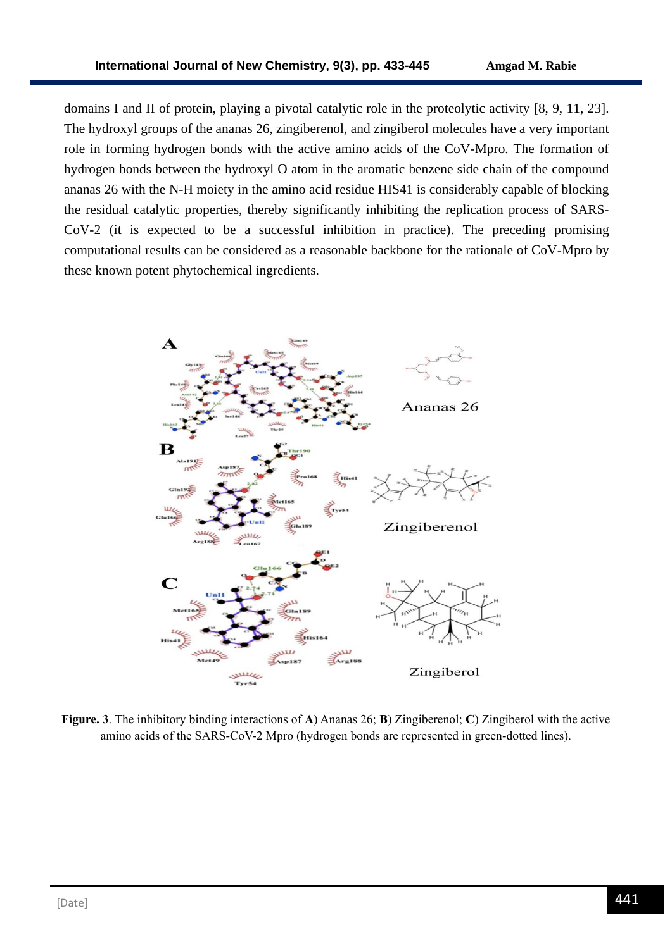domains I and II of protein, playing a pivotal catalytic role in the proteolytic activity [8, 9, 11, 23]. The hydroxyl groups of the ananas 26, zingiberenol, and zingiberol molecules have a very important role in forming hydrogen bonds with the active amino acids of the CoV-Mpro. The formation of hydrogen bonds between the hydroxyl O atom in the aromatic benzene side chain of the compound ananas 26 with the N-H moiety in the amino acid residue HIS41 is considerably capable of blocking the residual catalytic properties, thereby significantly inhibiting the replication process of SARS-CoV-2 (it is expected to be a successful inhibition in practice). The preceding promising computational results can be considered as a reasonable backbone for the rationale of CoV-Mpro by these known potent phytochemical ingredients.



**Figure. 3**. The inhibitory binding interactions of **A**) Ananas 26; **B**) Zingiberenol; **C**) Zingiberol with the active amino acids of the SARS-CoV-2 Mpro (hydrogen bonds are represented in green-dotted lines).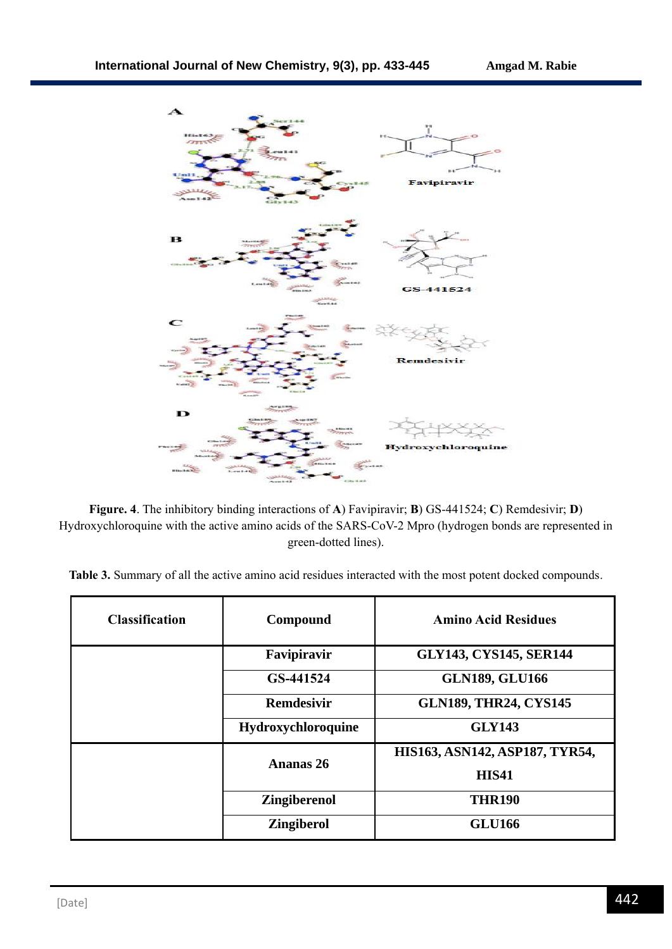

**Figure. 4**. The inhibitory binding interactions of **A**) Favipiravir; **B**) GS-441524; **C**) Remdesivir; **D**) Hydroxychloroquine with the active amino acids of the SARS-CoV-2 Mpro (hydrogen bonds are represented in green-dotted lines).

|  |  |  | Table 3. Summary of all the active amino acid residues interacted with the most potent docked compounds. |  |  |  |
|--|--|--|----------------------------------------------------------------------------------------------------------|--|--|--|
|  |  |  |                                                                                                          |  |  |  |

| <b>Classification</b> | Compound            | <b>Amino Acid Residues</b>     |  |  |
|-----------------------|---------------------|--------------------------------|--|--|
|                       | Favipiravir         | <b>GLY143, CYS145, SER144</b>  |  |  |
|                       | GS-441524           | <b>GLN189, GLU166</b>          |  |  |
|                       | <b>Remdesivir</b>   | <b>GLN189, THR24, CYS145</b>   |  |  |
|                       | Hydroxychloroquine  | <b>GLY143</b>                  |  |  |
|                       | <b>Ananas 26</b>    | HIS163, ASN142, ASP187, TYR54, |  |  |
|                       |                     | <b>HIS41</b>                   |  |  |
|                       | <b>Zingiberenol</b> | <b>THR190</b>                  |  |  |
|                       | <b>Zingiberol</b>   | <b>GLU166</b>                  |  |  |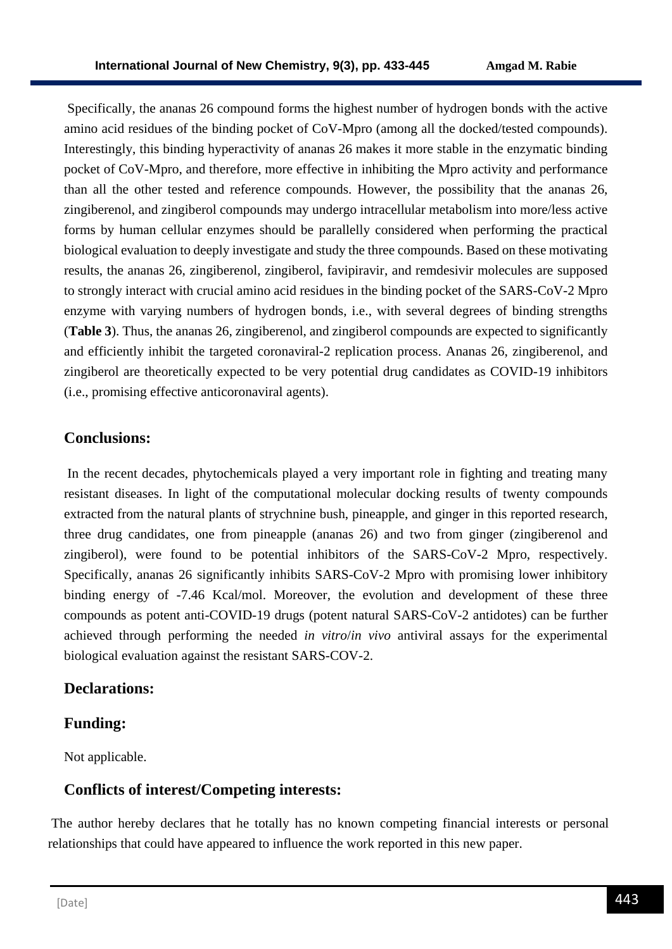Specifically, the ananas 26 compound forms the highest number of hydrogen bonds with the active amino acid residues of the binding pocket of CoV-Mpro (among all the docked/tested compounds). Interestingly, this binding hyperactivity of ananas 26 makes it more stable in the enzymatic binding pocket of CoV-Mpro, and therefore, more effective in inhibiting the Mpro activity and performance than all the other tested and reference compounds. However, the possibility that the ananas 26, zingiberenol, and zingiberol compounds may undergo intracellular metabolism into more/less active forms by human cellular enzymes should be parallelly considered when performing the practical biological evaluation to deeply investigate and study the three compounds. Based on these motivating results, the ananas 26, zingiberenol, zingiberol, favipiravir, and remdesivir molecules are supposed to strongly interact with crucial amino acid residues in the binding pocket of the SARS-CoV-2 Mpro enzyme with varying numbers of hydrogen bonds, i.e., with several degrees of binding strengths (**Table 3**). Thus, the ananas 26, zingiberenol, and zingiberol compounds are expected to significantly and efficiently inhibit the targeted coronaviral-2 replication process. Ananas 26, zingiberenol, and zingiberol are theoretically expected to be very potential drug candidates as COVID-19 inhibitors (i.e., promising effective anticoronaviral agents).

## **Conclusions:**

In the recent decades, phytochemicals played a very important role in fighting and treating many resistant diseases. In light of the computational molecular docking results of twenty compounds extracted from the natural plants of strychnine bush, pineapple, and ginger in this reported research, three drug candidates, one from pineapple (ananas 26) and two from ginger (zingiberenol and zingiberol), were found to be potential inhibitors of the SARS-CoV-2 Mpro, respectively. Specifically, ananas 26 significantly inhibits SARS-CoV-2 Mpro with promising lower inhibitory binding energy of -7.46 Kcal/mol. Moreover, the evolution and development of these three compounds as potent anti-COVID-19 drugs (potent natural SARS-CoV-2 antidotes) can be further achieved through performing the needed *in vitro*/*in vivo* antiviral assays for the experimental biological evaluation against the resistant SARS-COV-2.

## **Declarations:**

## **Funding:**

Not applicable.

## **Conflicts of interest/Competing interests:**

The author hereby declares that he totally has no known competing financial interests or personal relationships that could have appeared to influence the work reported in this new paper.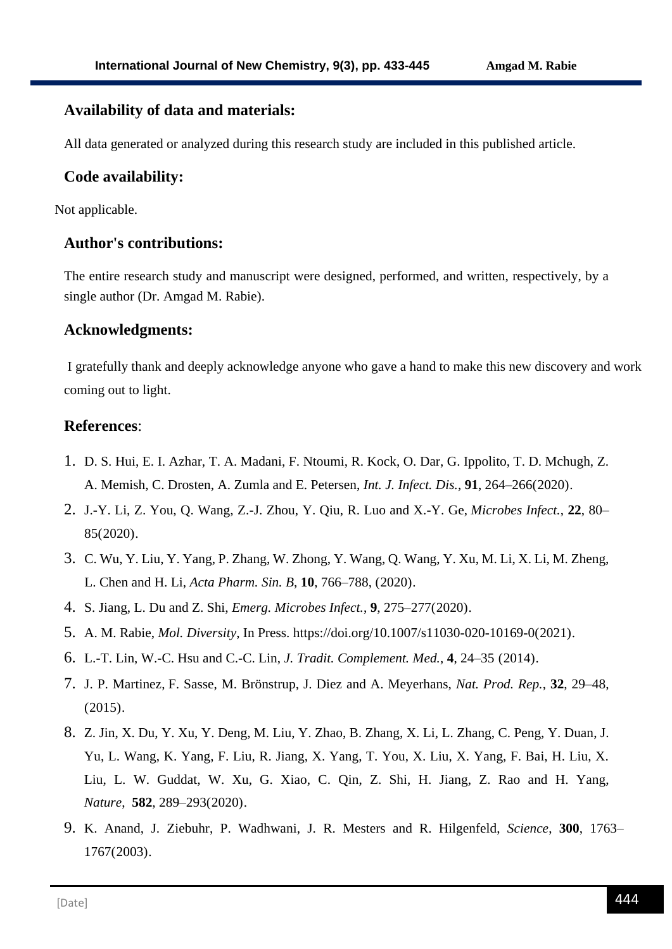## **Availability of data and materials:**

All data generated or analyzed during this research study are included in this published article.

## **Code availability:**

Not applicable.

## **Author's contributions:**

The entire research study and manuscript were designed, performed, and written, respectively, by a single author (Dr. Amgad M. Rabie).

## **Acknowledgments:**

I gratefully thank and deeply acknowledge anyone who gave a hand to make this new discovery and work coming out to light.

## **References**:

- 1. D. S. Hui, E. I. Azhar, T. A. Madani, F. Ntoumi, R. Kock, O. Dar, G. Ippolito, T. D. Mchugh, Z. A. Memish, C. Drosten, A. Zumla and E. Petersen, *Int. J. Infect. Dis.*, **91**, 264–266(2020).
- 2. J.-Y. Li, Z. You, Q. Wang, Z.-J. Zhou, Y. Qiu, R. Luo and X.-Y. Ge, *Microbes Infect.*, **22**, 80– 85(2020).
- 3. C. Wu, Y. Liu, Y. Yang, P. Zhang, W. Zhong, Y. Wang, Q. Wang, Y. Xu, M. Li, X. Li, M. Zheng, L. Chen and H. Li, *Acta Pharm. Sin. B*, **10**, 766–788, (2020).
- 4. S. Jiang, L. Du and Z. Shi, *Emerg. Microbes Infect.*, **9**, 275–277(2020).
- 5. A. M. Rabie, *Mol. Diversity*, In Press. https://doi.org/10.1007/s11030-020-10169-0(2021).
- 6. L.-T. Lin, W.-C. Hsu and C.-C. Lin, *J. Tradit. Complement. Med.*, **4**, 24–35 (2014).
- 7. [J. P. Martinez,](https://pubs.rsc.org/en/results?searchtext=Author%3AJ.%20P.%20Martinez) [F. Sasse,](https://pubs.rsc.org/en/results?searchtext=Author%3AF.%20Sasse) [M. Brönstrup,](https://pubs.rsc.org/en/results?searchtext=Author%3AM.%20Br%C3%B6nstrup) [J. Diez](https://pubs.rsc.org/en/results?searchtext=Author%3AJ.%20Diez) and [A. Meyerhans,](https://pubs.rsc.org/en/results?searchtext=Author%3AA.%20Meyerhans) *Nat. Prod. Rep.*, **32**, 29–48, (2015).
- 8. Z. Jin, X. Du, Y. Xu, Y. Deng, M. Liu, Y. Zhao, B. Zhang, X. Li, L. Zhang, C. Peng, Y. Duan, J. Yu, L. Wang, K. Yang, F. Liu, R. Jiang, X. Yang, T. You, X. Liu, X. Yang, F. Bai, H. Liu, X. Liu, L. W. Guddat, W. Xu, G. Xiao, C. Qin, Z. Shi, H. Jiang, Z. Rao and H. Yang, *Nature*, **582**, 289–293(2020).
- 9. K. Anand, J. Ziebuhr, P. Wadhwani, J. R. Mesters and R. Hilgenfeld, *Science*, **300**, 1763– 1767(2003).